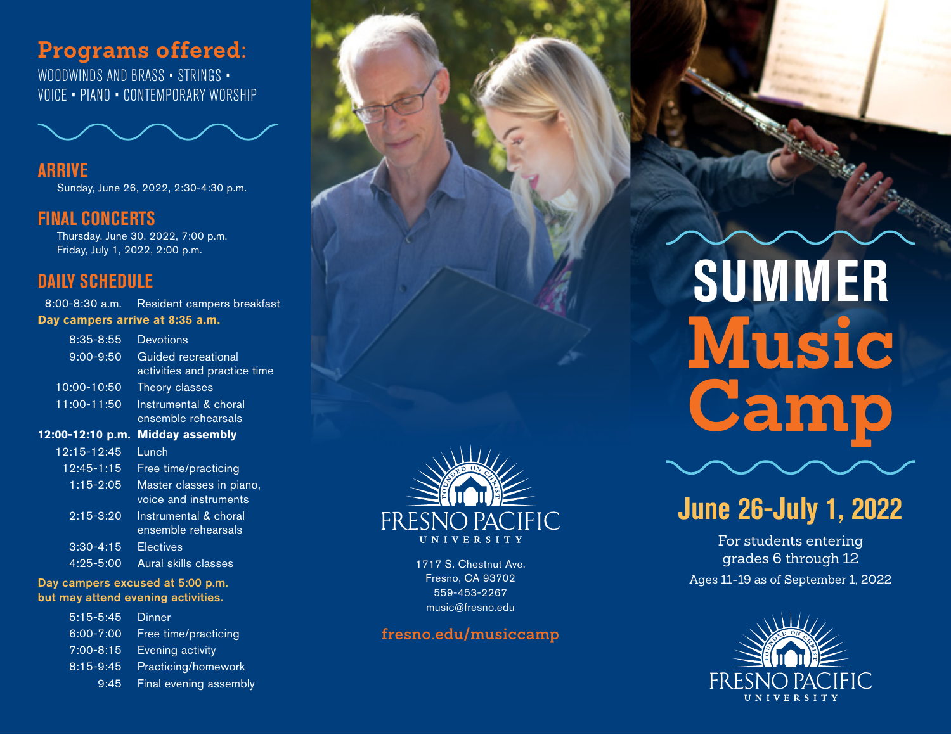## **Programs offered:**

WOODWINDS AND BRASS · STRINGS · VOICE • PIANO • CONTEMPORARY WORSHIP



**ARRIVE** Sunday, June 26, 2022, 2:30-4:30 p.m.

#### **FINAL CONCERTS**

 Thursday, June 30, 2022, 7:00 p.m. Friday, July 1, 2022, 2:00 p.m.

#### **DAILY SCHEDULE**

8:00-8:30 a.m. Resident campers breakfast **Day campers arrive at 8:35 a.m.** 

| $8:35 - 8:55$    | <b>Devotions</b>                                    |
|------------------|-----------------------------------------------------|
| $9:00 - 9:50$    | Guided recreational<br>activities and practice time |
| 10:00-10:50      | Theory classes                                      |
| 11:00-11:50      | Instrumental & choral<br>ensemble rehearsals        |
| 12:00-12:10 p.m. | <b>Midday assembly</b>                              |
| 12:15-12:45      | Lunch                                               |
| 12:45-1:15       | Free time/practicing                                |
| $1:15 - 2:05$    | Master classes in piano,<br>voice and instruments   |
| $2:15 - 3:20$    | Instrumental & choral<br>ensemble rehearsals        |
| $3:30 - 4:15$    | <b>Electives</b>                                    |
| $4:25 - 5:00$    | Aural skills classes                                |

#### Day campers excused at 5:00 p.m. but may attend evening activities.

5:15-5:45 Dinner 6:00-7:00 Free time/practicing 7:00-8:15 Evening activity 8:15-9:45 Practicing/homework 9:45 Final evening assembly



1717 S. Chestnut Ave. Fresno, CA 93702 559-453-2267 music@fresno.edu

#### **[fresno.edu/musiccamp](http://fresno.edu/musiccamp)**

# **SUMMER Music Camp**



For students entering grades 6 through 12 Ages 11-19 as of September 1, 2022